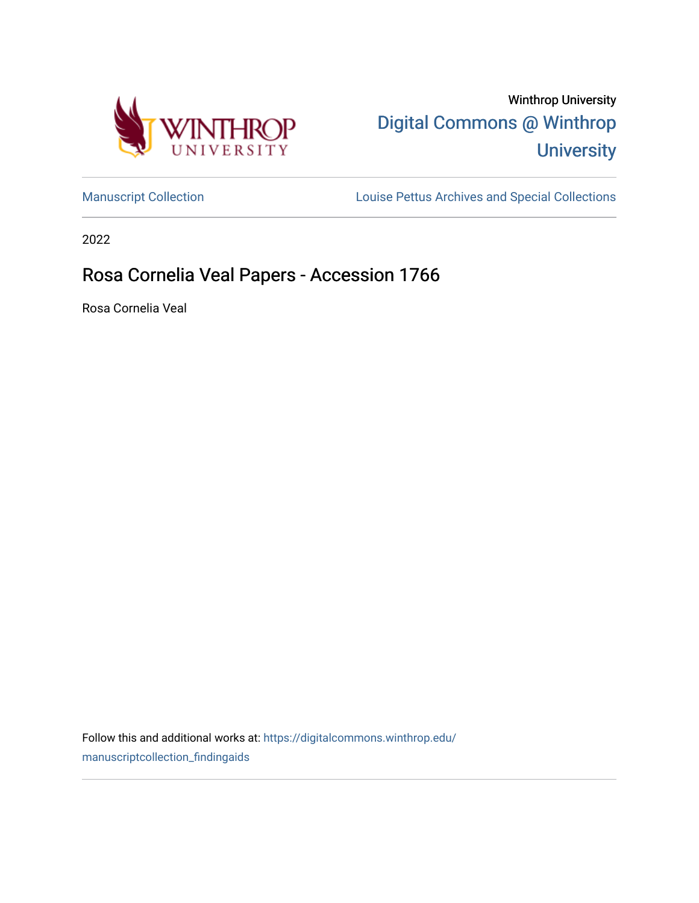



[Manuscript Collection](https://digitalcommons.winthrop.edu/manuscriptcollection_findingaids) **Louise Pettus Archives and Special Collections** 

2022

# Rosa Cornelia Veal Papers - Accession 1766

Rosa Cornelia Veal

Follow this and additional works at: [https://digitalcommons.winthrop.edu/](https://digitalcommons.winthrop.edu/manuscriptcollection_findingaids?utm_source=digitalcommons.winthrop.edu%2Fmanuscriptcollection_findingaids%2F1330&utm_medium=PDF&utm_campaign=PDFCoverPages) [manuscriptcollection\\_findingaids](https://digitalcommons.winthrop.edu/manuscriptcollection_findingaids?utm_source=digitalcommons.winthrop.edu%2Fmanuscriptcollection_findingaids%2F1330&utm_medium=PDF&utm_campaign=PDFCoverPages)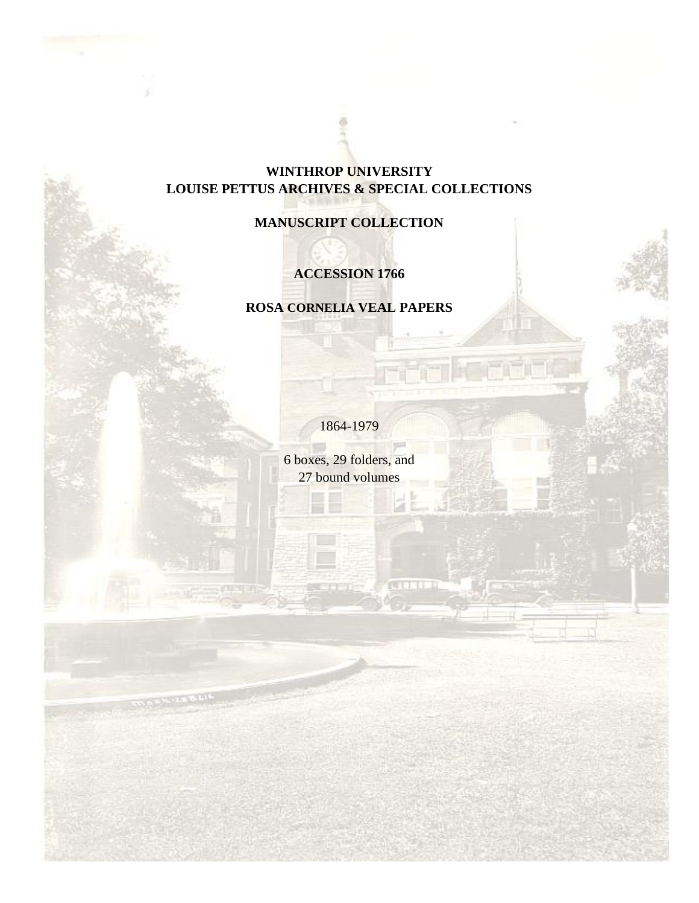# **WINTHROP UNIVERSITY LOUISE PETTUS ARCHIVES & SPECIAL COLLECTIONS**

# **MANUSCRIPT COLLECTION**

# **ACCESSION 1766**

### **ROSA CORNELIA VEAL PAPERS**

1864-1979

6 boxes, 29 folders, and 27 bound volumes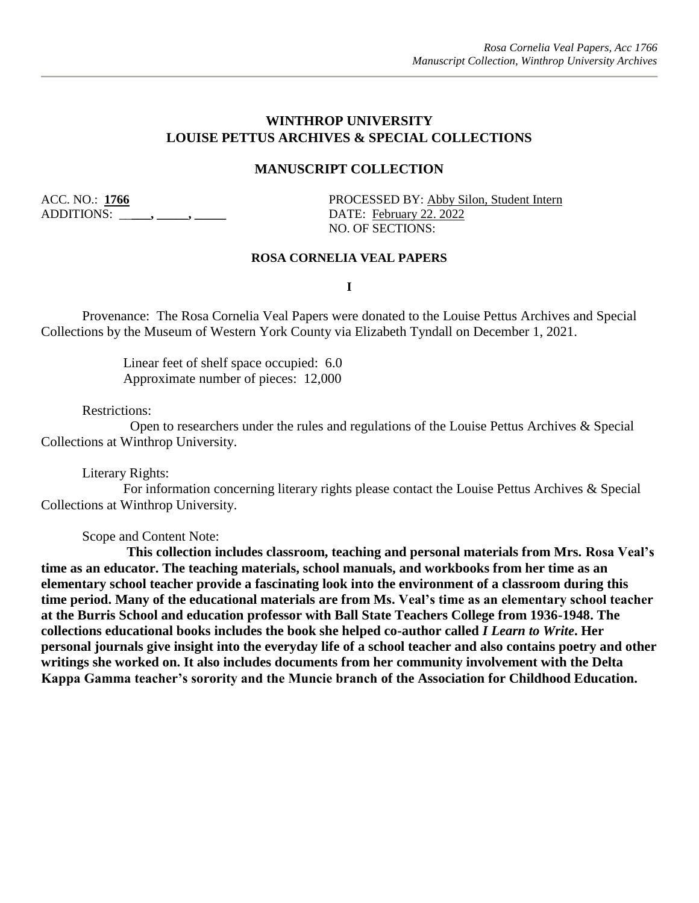#### **WINTHROP UNIVERSITY LOUISE PETTUS ARCHIVES & SPECIAL COLLECTIONS**

#### **MANUSCRIPT COLLECTION**

ADDITIONS: \_\_\_\_\_, \_\_\_\_\_, \_\_\_\_\_\_\_\_ DATE: February 22. 2022

ACC. NO.: 1766 PROCESSED BY: Abby Silon, Student Intern NO. OF SECTIONS:

#### **ROSA CORNELIA VEAL PAPERS**

**I**

Provenance: The Rosa Cornelia Veal Papers were donated to the Louise Pettus Archives and Special Collections by the Museum of Western York County via Elizabeth Tyndall on December 1, 2021.

> Linear feet of shelf space occupied: 6.0 Approximate number of pieces: 12,000

Restrictions:

 Open to researchers under the rules and regulations of the Louise Pettus Archives & Special Collections at Winthrop University.

Literary Rights:

For information concerning literary rights please contact the Louise Pettus Archives & Special Collections at Winthrop University.

Scope and Content Note:

**This collection includes classroom, teaching and personal materials from Mrs. Rosa Veal's time as an educator. The teaching materials, school manuals, and workbooks from her time as an elementary school teacher provide a fascinating look into the environment of a classroom during this time period. Many of the educational materials are from Ms. Veal's time as an elementary school teacher at the Burris School and education professor with Ball State Teachers College from 1936-1948. The collections educational books includes the book she helped co-author called** *I Learn to Write***. Her personal journals give insight into the everyday life of a school teacher and also contains poetry and other writings she worked on. It also includes documents from her community involvement with the Delta Kappa Gamma teacher's sorority and the Muncie branch of the Association for Childhood Education.**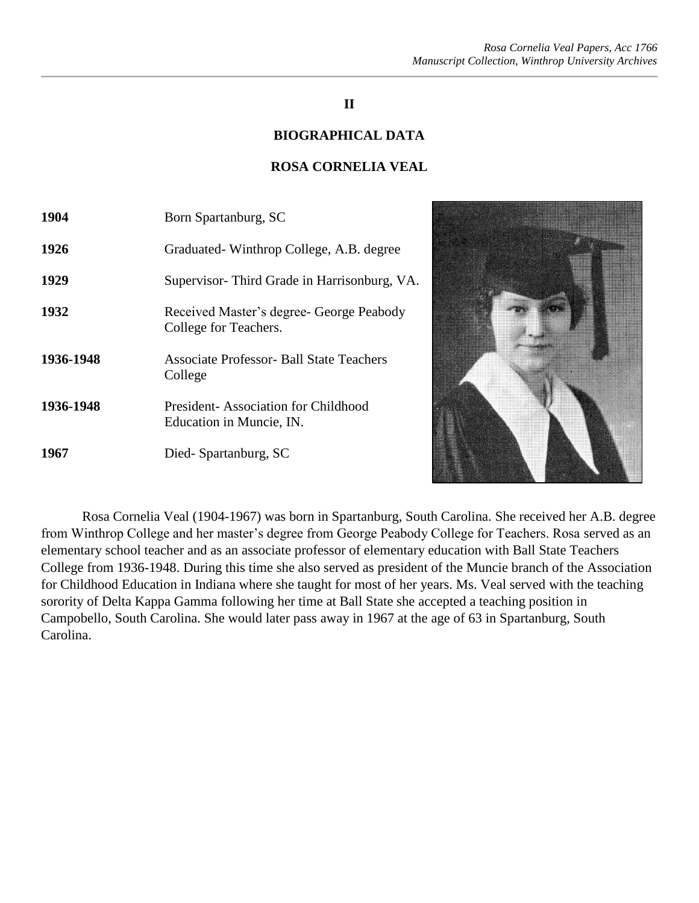#### **II**

#### **BIOGRAPHICAL DATA**

#### **ROSA CORNELIA VEAL**

| 1904      | Born Spartanburg, SC                                              |
|-----------|-------------------------------------------------------------------|
| 1926      | Graduated - Winthrop College, A.B. degree                         |
| 1929      | Supervisor-Third Grade in Harrisonburg, VA.                       |
| 1932      | Received Master's degree- George Peabody<br>College for Teachers. |
| 1936-1948 | Associate Professor- Ball State Teachers<br>College               |
| 1936-1948 | President-Association for Childhood<br>Education in Muncie, IN.   |
| 1967      | Died-Spartanburg, SC                                              |



Rosa Cornelia Veal (1904-1967) was born in Spartanburg, South Carolina. She received her A.B. degree from Winthrop College and her master's degree from George Peabody College for Teachers. Rosa served as an elementary school teacher and as an associate professor of elementary education with Ball State Teachers College from 1936-1948. During this time she also served as president of the Muncie branch of the Association for Childhood Education in Indiana where she taught for most of her years. Ms. Veal served with the teaching sorority of Delta Kappa Gamma following her time at Ball State she accepted a teaching position in Campobello, South Carolina. She would later pass away in 1967 at the age of 63 in Spartanburg, South Carolina.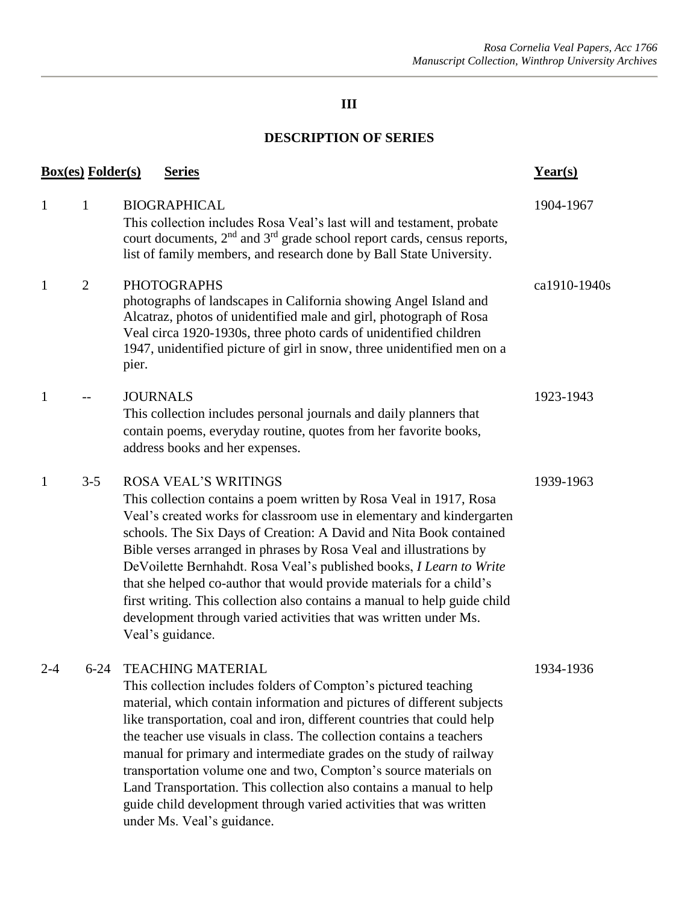# **III**

# **DESCRIPTION OF SERIES**

|              | <b>Box(es)</b> Folder(s) | <u>Series</u>                                                                                                                                                                                                                                                                                                                                                                                                                                                                                                                                                                                                                                 | $Year(s)$    |
|--------------|--------------------------|-----------------------------------------------------------------------------------------------------------------------------------------------------------------------------------------------------------------------------------------------------------------------------------------------------------------------------------------------------------------------------------------------------------------------------------------------------------------------------------------------------------------------------------------------------------------------------------------------------------------------------------------------|--------------|
| $\mathbf{1}$ | $\mathbf{1}$             | <b>BIOGRAPHICAL</b><br>This collection includes Rosa Veal's last will and testament, probate<br>court documents, 2 <sup>nd</sup> and 3 <sup>rd</sup> grade school report cards, census reports,<br>list of family members, and research done by Ball State University.                                                                                                                                                                                                                                                                                                                                                                        | 1904-1967    |
| 1            | $\overline{2}$           | <b>PHOTOGRAPHS</b><br>photographs of landscapes in California showing Angel Island and<br>Alcatraz, photos of unidentified male and girl, photograph of Rosa<br>Veal circa 1920-1930s, three photo cards of unidentified children<br>1947, unidentified picture of girl in snow, three unidentified men on a<br>pier.                                                                                                                                                                                                                                                                                                                         | ca1910-1940s |
| 1            |                          | <b>JOURNALS</b><br>This collection includes personal journals and daily planners that<br>contain poems, everyday routine, quotes from her favorite books,<br>address books and her expenses.                                                                                                                                                                                                                                                                                                                                                                                                                                                  | 1923-1943    |
| 1            | $3 - 5$                  | <b>ROSA VEAL'S WRITINGS</b><br>This collection contains a poem written by Rosa Veal in 1917, Rosa<br>Veal's created works for classroom use in elementary and kindergarten<br>schools. The Six Days of Creation: A David and Nita Book contained<br>Bible verses arranged in phrases by Rosa Veal and illustrations by<br>DeVoilette Bernhahdt. Rosa Veal's published books, I Learn to Write<br>that she helped co-author that would provide materials for a child's<br>first writing. This collection also contains a manual to help guide child<br>development through varied activities that was written under Ms.<br>Veal's guidance.    | 1939-1963    |
| 2-4          | $6 - 24$                 | <b>TEACHING MATERIAL</b><br>This collection includes folders of Compton's pictured teaching<br>material, which contain information and pictures of different subjects<br>like transportation, coal and iron, different countries that could help<br>the teacher use visuals in class. The collection contains a teachers<br>manual for primary and intermediate grades on the study of railway<br>transportation volume one and two, Compton's source materials on<br>Land Transportation. This collection also contains a manual to help<br>guide child development through varied activities that was written<br>under Ms. Veal's guidance. | 1934-1936    |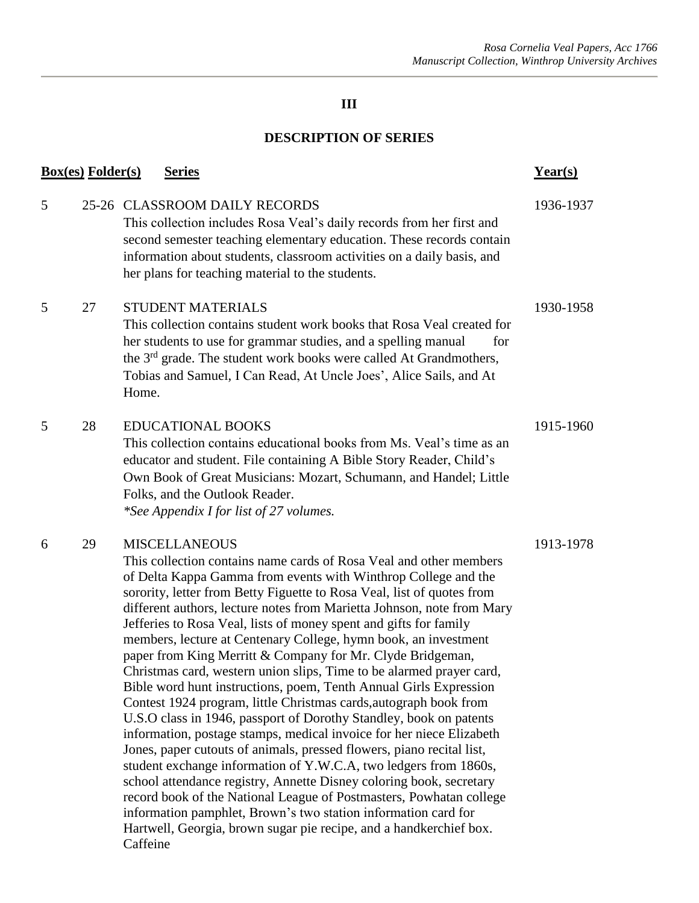# **III**

### **DESCRIPTION OF SERIES**

| <u>Box(es)</u> Folder(s)<br><b>Series</b> |    |                                                                                                                                                                                                                                                                                                                                                                                                                                                                                                                                                                                                                                                                                                                                                                                                                                                                                                                                                                                                                                                                                                                                                                                                                                                                                                                           | $Year(s)$ |
|-------------------------------------------|----|---------------------------------------------------------------------------------------------------------------------------------------------------------------------------------------------------------------------------------------------------------------------------------------------------------------------------------------------------------------------------------------------------------------------------------------------------------------------------------------------------------------------------------------------------------------------------------------------------------------------------------------------------------------------------------------------------------------------------------------------------------------------------------------------------------------------------------------------------------------------------------------------------------------------------------------------------------------------------------------------------------------------------------------------------------------------------------------------------------------------------------------------------------------------------------------------------------------------------------------------------------------------------------------------------------------------------|-----------|
| 5                                         |    | 25-26 CLASSROOM DAILY RECORDS<br>This collection includes Rosa Veal's daily records from her first and<br>second semester teaching elementary education. These records contain<br>information about students, classroom activities on a daily basis, and<br>her plans for teaching material to the students.                                                                                                                                                                                                                                                                                                                                                                                                                                                                                                                                                                                                                                                                                                                                                                                                                                                                                                                                                                                                              | 1936-1937 |
| 5                                         | 27 | <b>STUDENT MATERIALS</b><br>This collection contains student work books that Rosa Veal created for<br>her students to use for grammar studies, and a spelling manual<br>for<br>the 3 <sup>rd</sup> grade. The student work books were called At Grandmothers,<br>Tobias and Samuel, I Can Read, At Uncle Joes', Alice Sails, and At<br>Home.                                                                                                                                                                                                                                                                                                                                                                                                                                                                                                                                                                                                                                                                                                                                                                                                                                                                                                                                                                              | 1930-1958 |
| 5                                         | 28 | <b>EDUCATIONAL BOOKS</b><br>This collection contains educational books from Ms. Veal's time as an<br>educator and student. File containing A Bible Story Reader, Child's<br>Own Book of Great Musicians: Mozart, Schumann, and Handel; Little<br>Folks, and the Outlook Reader.<br>*See Appendix I for list of 27 volumes.                                                                                                                                                                                                                                                                                                                                                                                                                                                                                                                                                                                                                                                                                                                                                                                                                                                                                                                                                                                                | 1915-1960 |
| 6                                         | 29 | <b>MISCELLANEOUS</b><br>This collection contains name cards of Rosa Veal and other members<br>of Delta Kappa Gamma from events with Winthrop College and the<br>sorority, letter from Betty Figuette to Rosa Veal, list of quotes from<br>different authors, lecture notes from Marietta Johnson, note from Mary<br>Jefferies to Rosa Veal, lists of money spent and gifts for family<br>members, lecture at Centenary College, hymn book, an investment<br>paper from King Merritt & Company for Mr. Clyde Bridgeman,<br>Christmas card, western union slips, Time to be alarmed prayer card,<br>Bible word hunt instructions, poem, Tenth Annual Girls Expression<br>Contest 1924 program, little Christmas cards, autograph book from<br>U.S.O class in 1946, passport of Dorothy Standley, book on patents<br>information, postage stamps, medical invoice for her niece Elizabeth<br>Jones, paper cutouts of animals, pressed flowers, piano recital list,<br>student exchange information of Y.W.C.A, two ledgers from 1860s,<br>school attendance registry, Annette Disney coloring book, secretary<br>record book of the National League of Postmasters, Powhatan college<br>information pamphlet, Brown's two station information card for<br>Hartwell, Georgia, brown sugar pie recipe, and a handkerchief box. | 1913-1978 |

Caffeine